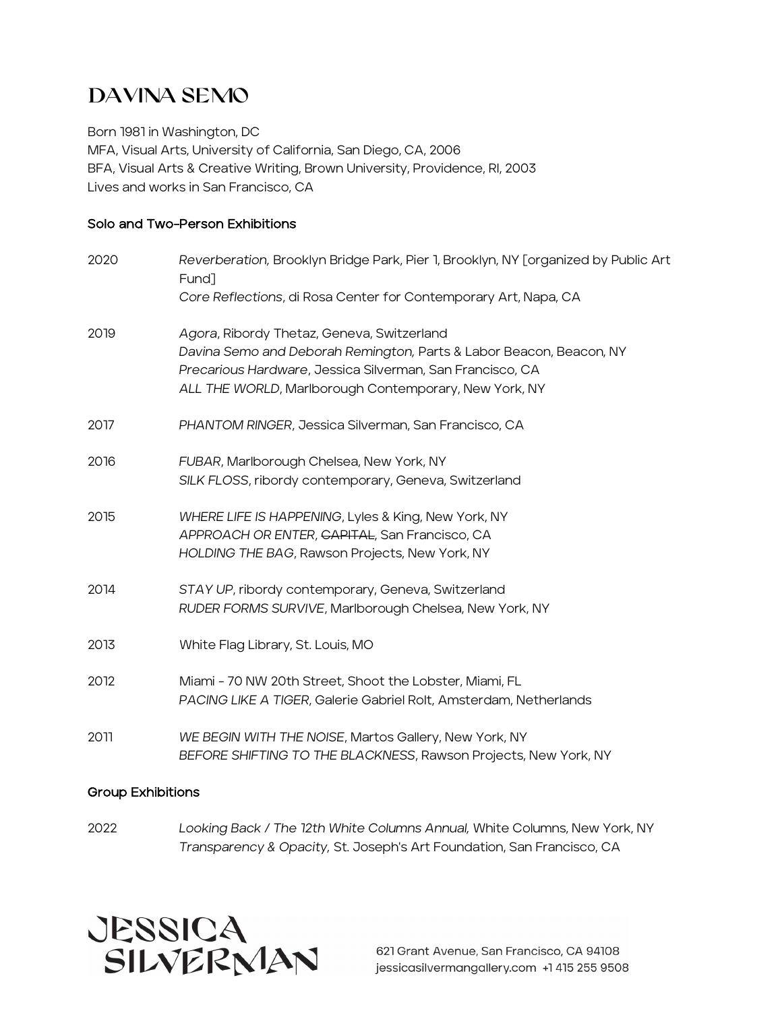# DAVINA SEMo

Born 1981 in Washington, DC MFA, Visual Arts, University of California, San Diego, CA, 2006 BFA, Visual Arts & Creative Writing, Brown University, Providence, RI, 2003 Lives and works in San Francisco, CA

# Solo and Two-Person Exhibitions

| 2020 | Reverberation, Brooklyn Bridge Park, Pier 1, Brooklyn, NY [organized by Public Art<br>Fund]                                                                                                                                             |
|------|-----------------------------------------------------------------------------------------------------------------------------------------------------------------------------------------------------------------------------------------|
|      | Core Reflections, di Rosa Center for Contemporary Art, Napa, CA                                                                                                                                                                         |
| 2019 | Agora, Ribordy Thetaz, Geneva, Switzerland<br>Davina Semo and Deborah Remington, Parts & Labor Beacon, Beacon, NY<br>Precarious Hardware, Jessica Silverman, San Francisco, CA<br>ALL THE WORLD, Marlborough Contemporary, New York, NY |
| 2017 | PHANTOM RINGER, Jessica Silverman, San Francisco, CA                                                                                                                                                                                    |
| 2016 | FUBAR, Marlborough Chelsea, New York, NY<br>SILK FLOSS, ribordy contemporary, Geneva, Switzerland                                                                                                                                       |
| 2015 | WHERE LIFE IS HAPPENING, Lyles & King, New York, NY<br>APPROACH OR ENTER, CAPITAL, San Francisco, CA<br>HOLDING THE BAG, Rawson Projects, New York, NY                                                                                  |
| 2014 | STAY UP, ribordy contemporary, Geneva, Switzerland<br>RUDER FORMS SURVIVE, Marlborough Chelsea, New York, NY                                                                                                                            |
| 2013 | White Flag Library, St. Louis, MO                                                                                                                                                                                                       |
| 2012 | Miami - 70 NW 20th Street, Shoot the Lobster, Miami, FL<br>PACING LIKE A TIGER, Galerie Gabriel Rolt, Amsterdam, Netherlands                                                                                                            |
| 2011 | WE BEGIN WITH THE NOISE, Martos Gallery, New York, NY<br>BEFORE SHIFTING TO THE BLACKNESS, Rawson Projects, New York, NY                                                                                                                |

### Group Exhibitions

2022 *Looking Back / The 12th White Columns Annual,* White Columns, New York, NY *Transparency & Opacity,* St. Joseph's Art Foundation, San Francisco, CA



621 Grant Avenue, San Francisco, CA 94108 jessicasilvermangallery.com +1 415 255 9508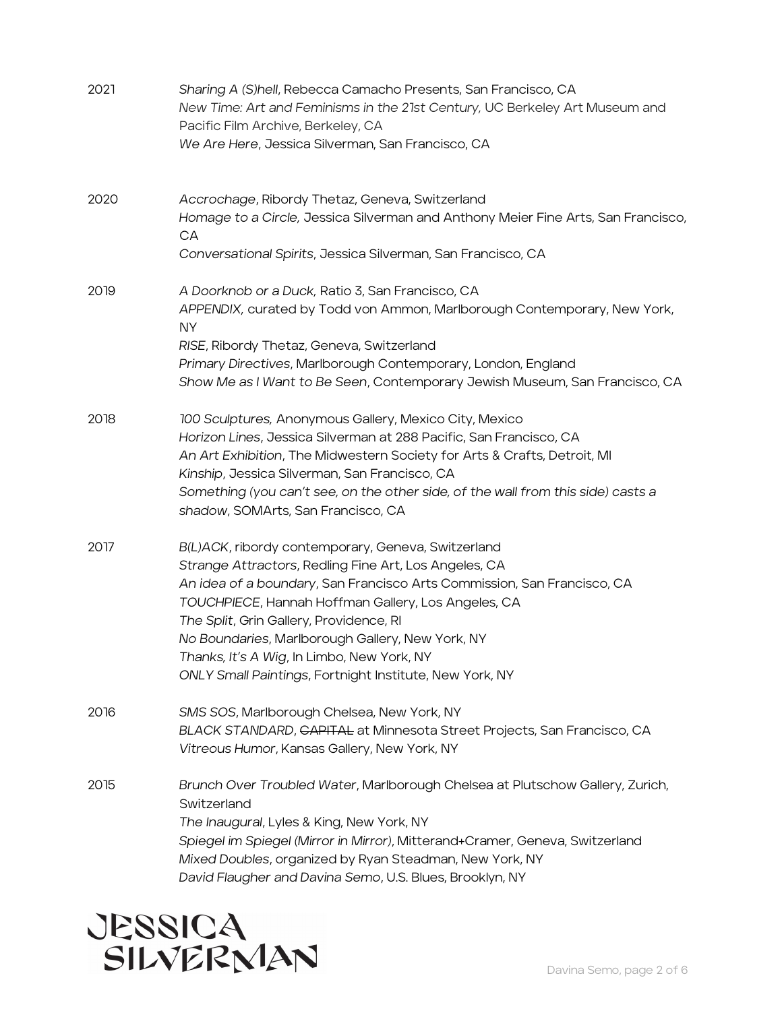| 2021 | Sharing A (S)hell, Rebecca Camacho Presents, San Francisco, CA<br>New Time: Art and Feminisms in the 21st Century, UC Berkeley Art Museum and<br>Pacific Film Archive, Berkeley, CA<br>We Are Here, Jessica Silverman, San Francisco, CA                                                                                                                                                                                                              |
|------|-------------------------------------------------------------------------------------------------------------------------------------------------------------------------------------------------------------------------------------------------------------------------------------------------------------------------------------------------------------------------------------------------------------------------------------------------------|
| 2020 | Accrochage, Ribordy Thetaz, Geneva, Switzerland<br>Homage to a Circle, Jessica Silverman and Anthony Meier Fine Arts, San Francisco,<br>СA<br>Conversational Spirits, Jessica Silverman, San Francisco, CA                                                                                                                                                                                                                                            |
| 2019 | A Doorknob or a Duck, Ratio 3, San Francisco, CA<br>APPENDIX, curated by Todd von Ammon, Marlborough Contemporary, New York,<br>ΝY<br>RISE, Ribordy Thetaz, Geneva, Switzerland<br>Primary Directives, Marlborough Contemporary, London, England<br>Show Me as I Want to Be Seen, Contemporary Jewish Museum, San Francisco, CA                                                                                                                       |
| 2018 | 100 Sculptures, Anonymous Gallery, Mexico City, Mexico<br>Horizon Lines, Jessica Silverman at 288 Pacific, San Francisco, CA<br>An Art Exhibition, The Midwestern Society for Arts & Crafts, Detroit, MI<br>Kinship, Jessica Silverman, San Francisco, CA<br>Something (you can't see, on the other side, of the wall from this side) casts a<br>shadow, SOMArts, San Francisco, CA                                                                   |
| 2017 | B(L)ACK, ribordy contemporary, Geneva, Switzerland<br>Strange Attractors, Redling Fine Art, Los Angeles, CA<br>An idea of a boundary, San Francisco Arts Commission, San Francisco, CA<br>TOUCHPIECE, Hannah Hoffman Gallery, Los Angeles, CA<br>The Split, Grin Gallery, Providence, RI<br>No Boundaries, Marlborough Gallery, New York, NY<br>Thanks, It's A Wig, In Limbo, New York, NY<br>ONLY Small Paintings, Fortnight Institute, New York, NY |
| 2016 | SMS SOS, Marlborough Chelsea, New York, NY<br>BLACK STANDARD, GAPITAL at Minnesota Street Projects, San Francisco, CA<br>Vitreous Humor, Kansas Gallery, New York, NY                                                                                                                                                                                                                                                                                 |
| 2015 | Brunch Over Troubled Water, Marlborough Chelsea at Plutschow Gallery, Zurich,<br>Switzerland<br>The Inaugural, Lyles & King, New York, NY<br>Spiegel im Spiegel (Mirror in Mirror), Mitterand+Cramer, Geneva, Switzerland<br>Mixed Doubles, organized by Ryan Steadman, New York, NY<br>David Flaugher and Davina Semo, U.S. Blues, Brooklyn, NY                                                                                                      |

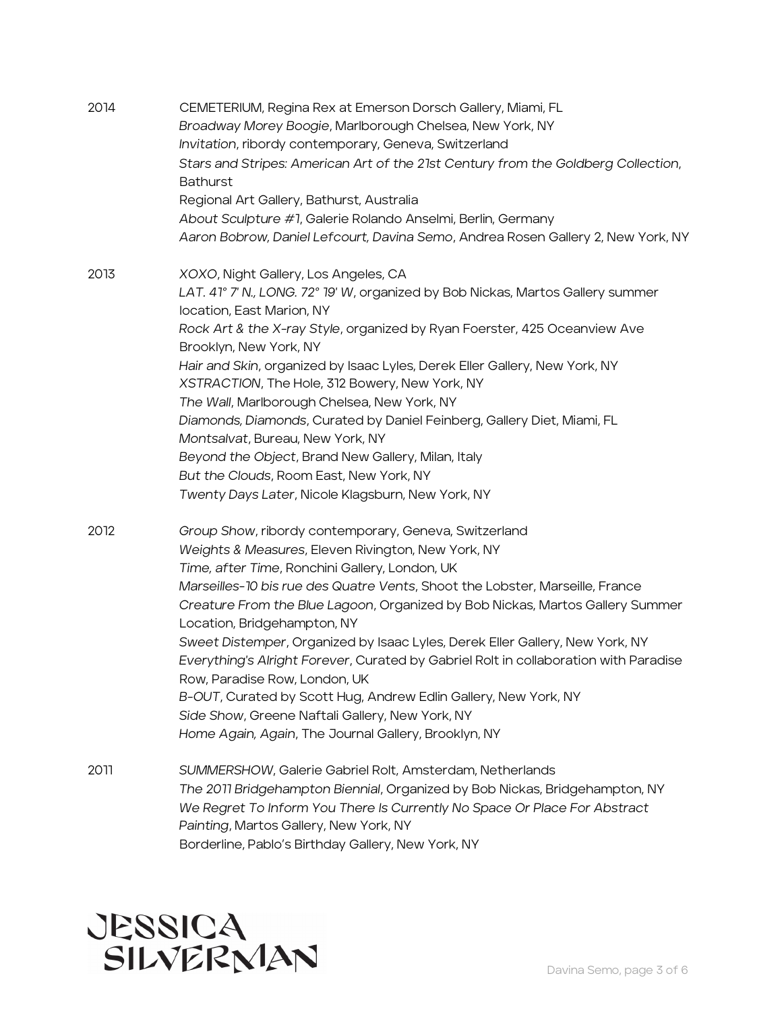| 2014 | CEMETERIUM, Regina Rex at Emerson Dorsch Gallery, Miami, FL<br>Broadway Morey Boogie, Marlborough Chelsea, New York, NY<br>Invitation, ribordy contemporary, Geneva, Switzerland<br>Stars and Stripes: American Art of the 21st Century from the Goldberg Collection,<br><b>Bathurst</b><br>Regional Art Gallery, Bathurst, Australia<br>About Sculpture #1, Galerie Rolando Anselmi, Berlin, Germany<br>Aaron Bobrow, Daniel Lefcourt, Davina Semo, Andrea Rosen Gallery 2, New York, NY                                                                                                                                                                                                                                                            |
|------|------------------------------------------------------------------------------------------------------------------------------------------------------------------------------------------------------------------------------------------------------------------------------------------------------------------------------------------------------------------------------------------------------------------------------------------------------------------------------------------------------------------------------------------------------------------------------------------------------------------------------------------------------------------------------------------------------------------------------------------------------|
| 2013 | XOXO, Night Gallery, Los Angeles, CA<br>LAT. 41° 7' N., LONG. 72° 19' W, organized by Bob Nickas, Martos Gallery summer<br>location, East Marion, NY<br>Rock Art & the X-ray Style, organized by Ryan Foerster, 425 Oceanview Ave<br>Brooklyn, New York, NY<br>Hair and Skin, organized by Isaac Lyles, Derek Eller Gallery, New York, NY<br>XSTRACTION, The Hole, 312 Bowery, New York, NY<br>The Wall, Marlborough Chelsea, New York, NY<br>Diamonds, Diamonds, Curated by Daniel Feinberg, Gallery Diet, Miami, FL<br>Montsalvat, Bureau, New York, NY<br>Beyond the Object, Brand New Gallery, Milan, Italy<br>But the Clouds, Room East, New York, NY<br>Twenty Days Later, Nicole Klagsburn, New York, NY                                      |
| 2012 | Group Show, ribordy contemporary, Geneva, Switzerland<br>Weights & Measures, Eleven Rivington, New York, NY<br>Time, after Time, Ronchini Gallery, London, UK<br>Marseilles-10 bis rue des Quatre Vents, Shoot the Lobster, Marseille, France<br>Creature From the Blue Lagoon, Organized by Bob Nickas, Martos Gallery Summer<br>Location, Bridgehampton, NY<br>Sweet Distemper, Organized by Isaac Lyles, Derek Eller Gallery, New York, NY<br>Everything's Alright Forever, Curated by Gabriel Rolt in collaboration with Paradise<br>Row, Paradise Row, London, UK<br>B-OUT, Curated by Scott Hug, Andrew Edlin Gallery, New York, NY<br>Side Show, Greene Naftali Gallery, New York, NY<br>Home Again, Again, The Journal Gallery, Brooklyn, NY |
| 2011 | SUMMERSHOW, Galerie Gabriel Rolt, Amsterdam, Netherlands<br>The 2011 Bridgehampton Biennial, Organized by Bob Nickas, Bridgehampton, NY<br>We Regret To Inform You There Is Currently No Space Or Place For Abstract<br>Painting, Martos Gallery, New York, NY                                                                                                                                                                                                                                                                                                                                                                                                                                                                                       |

Borderline, Pablo's Birthday Gallery, New York, NY

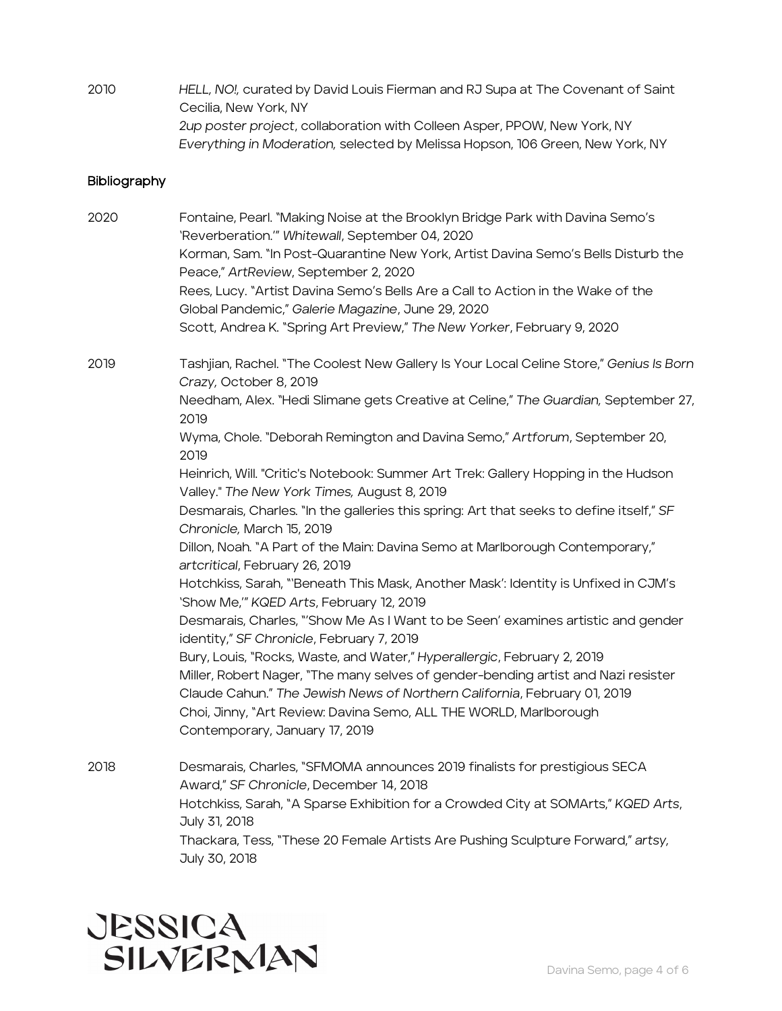2010 *HELL, NO!,* curated by David Louis Fierman and RJ Supa at The Covenant of Saint Cecilia, New York, NY *2up poster project*, collaboration with Colleen Asper, PPOW, New York, NY *Everything in Moderation,* selected by Melissa Hopson, 106 Green, New York, NY

#### **Bibliography**

2020 Fontaine, Pearl. "Making Noise at the Brooklyn Bridge Park with Davina Semo's 'Reverberation.'" *Whitewall*, September 04, 2020 Korman, Sam. "In Post-Quarantine New York, Artist Davina Semo's Bells Disturb the Peace," *ArtReview*, September 2, 2020 Rees, Lucy. "Artist Davina Semo's Bells Are a Call to Action in the Wake of the Global Pandemic," *Galerie Magazine*, June 29, 2020 Scott, Andrea K. "Spring Art Preview," *The New Yorker*, February 9, 2020

2019 Tashjian, Rachel. "The Coolest New Gallery Is Your Local Celine Store," *Genius Is Born Crazy,* October 8, 2019 Needham, Alex. "Hedi Slimane gets Creative at Celine," *The Guardian,* September 27, 2019

> Wyma, Chole. "Deborah Remington and Davina Semo," *Artforum*, September 20, 2019

Heinrich, Will. "Critic's Notebook: Summer Art Trek: Gallery Hopping in the Hudson Valley." *The New York Times,* August 8, 2019

Desmarais, Charles. "In the galleries this spring: Art that seeks to define itself," *SF Chronicle,* March 15, 2019

Dillon, Noah. "A Part of the Main: Davina Semo at Marlborough Contemporary," *artcritical*, February 26, 2019

Hotchkiss, Sarah, "'Beneath This Mask, Another Mask': Identity is Unfixed in CJM's 'Show Me,'" *KQED Arts*, February 12, 2019

Desmarais, Charles, "'Show Me As I Want to be Seen' examines artistic and gender identity," *SF Chronicle*, February 7, 2019

Bury, Louis, "Rocks, Waste, and Water," *Hyperallergic*, February 2, 2019 Miller, Robert Nager, "The many selves of gender-bending artist and Nazi resister Claude Cahun." *The Jewish News of Northern California*, February 01, 2019 Choi, Jinny, "Art Review: Davina Semo, ALL THE WORLD, Marlborough Contemporary, January 17, 2019

2018 Desmarais, Charles, "SFMOMA announces 2019 finalists for prestigious SECA Award," *SF Chronicle*, December 14, 2018 Hotchkiss, Sarah, "A Sparse Exhibition for a Crowded City at SOMArts," *KQED Arts*, July 31, 2018 Thackara, Tess, "These 20 Female Artists Are Pushing Sculpture Forward," *artsy,*  July 30, 2018

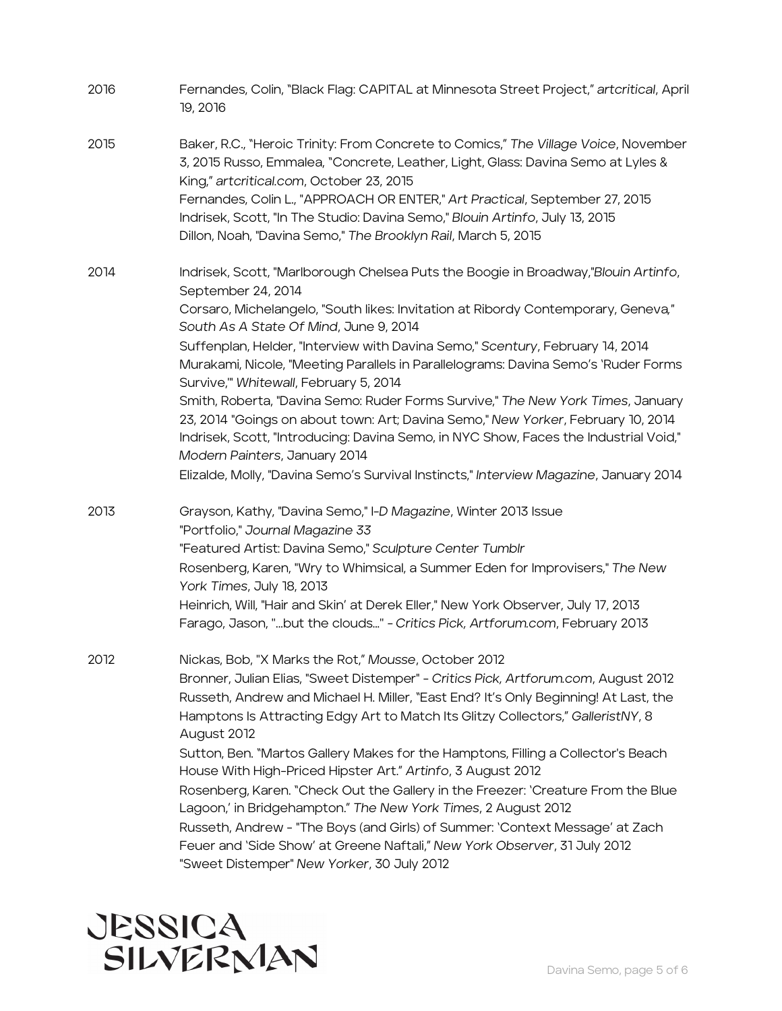| 2016 | Fernandes, Colin, "Black Flag: CAPITAL at Minnesota Street Project," artcritical, April<br>19, 2016                                                                                                                                                                                                                                                                                                                                                                                                                                                                                                                                                                                                                                                                                                                                                    |
|------|--------------------------------------------------------------------------------------------------------------------------------------------------------------------------------------------------------------------------------------------------------------------------------------------------------------------------------------------------------------------------------------------------------------------------------------------------------------------------------------------------------------------------------------------------------------------------------------------------------------------------------------------------------------------------------------------------------------------------------------------------------------------------------------------------------------------------------------------------------|
| 2015 | Baker, R.C., "Heroic Trinity: From Concrete to Comics," The Village Voice, November<br>3, 2015 Russo, Emmalea, "Concrete, Leather, Light, Glass: Davina Semo at Lyles &<br>King," artcritical.com, October 23, 2015<br>Fernandes, Colin L., "APPROACH OR ENTER," Art Practical, September 27, 2015<br>Indrisek, Scott, "In The Studio: Davina Semo," Blouin Artinfo, July 13, 2015<br>Dillon, Noah, "Davina Semo," The Brooklyn Rail, March 5, 2015                                                                                                                                                                                                                                                                                                                                                                                                    |
| 2014 | Indrisek, Scott, "Marlborough Chelsea Puts the Boogie in Broadway,"Blouin Artinfo,<br>September 24, 2014<br>Corsaro, Michelangelo, "South likes: Invitation at Ribordy Contemporary, Geneva,"<br>South As A State Of Mind, June 9, 2014<br>Suffenplan, Helder, "Interview with Davina Semo," Scentury, February 14, 2014<br>Murakami, Nicole, "Meeting Parallels in Parallelograms: Davina Semo's 'Ruder Forms<br>Survive," Whitewall, February 5, 2014<br>Smith, Roberta, "Davina Semo: Ruder Forms Survive," The New York Times, January<br>23, 2014 "Goings on about town: Art; Davina Semo," New Yorker, February 10, 2014<br>Indrisek, Scott, "Introducing: Davina Semo, in NYC Show, Faces the Industrial Void,"<br>Modern Painters, January 2014<br>Elizalde, Molly, "Davina Semo's Survival Instincts," Interview Magazine, January 2014       |
| 2013 | Grayson, Kathy, "Davina Semo," I-D Magazine, Winter 2013 Issue<br>"Portfolio," Journal Magazine 33<br>"Featured Artist: Davina Semo," Sculpture Center Tumblr<br>Rosenberg, Karen, "Wry to Whimsical, a Summer Eden for Improvisers," The New<br>York Times, July 18, 2013<br>Heinrich, Will, "Hair and Skin' at Derek Eller," New York Observer, July 17, 2013<br>Farago, Jason, "but the clouds" - Critics Pick, Artforum.com, February 2013                                                                                                                                                                                                                                                                                                                                                                                                         |
| 2012 | Nickas, Bob, "X Marks the Rot," Mousse, October 2012<br>Bronner, Julian Elias, "Sweet Distemper" - Critics Pick, Artforum.com, August 2012<br>Russeth, Andrew and Michael H. Miller, "East End? It's Only Beginning! At Last, the<br>Hamptons Is Attracting Edgy Art to Match Its Glitzy Collectors," GalleristNY, 8<br>August 2012<br>Sutton, Ben. "Martos Gallery Makes for the Hamptons, Filling a Collector's Beach<br>House With High-Priced Hipster Art." Artinfo, 3 August 2012<br>Rosenberg, Karen. "Check Out the Gallery in the Freezer: 'Creature From the Blue<br>Lagoon,' in Bridgehampton." The New York Times, 2 August 2012<br>Russeth, Andrew - "The Boys (and Girls) of Summer: 'Context Message' at Zach<br>Feuer and 'Side Show' at Greene Naftali," New York Observer, 31 July 2012<br>"Sweet Distemper" New Yorker, 30 July 2012 |